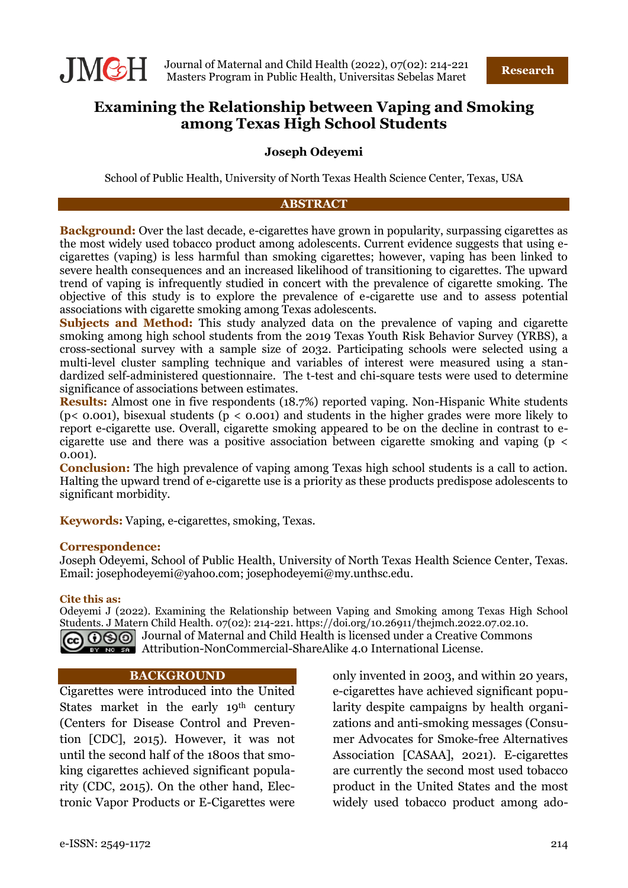

# **Examining the Relationship between Vaping and Smoking among Texas High School Students**

### **Joseph Odeyemi**

School of Public Health, University of North Texas Health Science Center, Texas, USA

#### **ABSTRACT**

**Background:** Over the last decade, e-cigarettes have grown in popularity, surpassing cigarettes as the most widely used tobacco product among adolescents. Current evidence suggests that using ecigarettes (vaping) is less harmful than smoking cigarettes; however, vaping has been linked to severe health consequences and an increased likelihood of transitioning to cigarettes. The upward trend of vaping is infrequently studied in concert with the prevalence of cigarette smoking. The objective of this study is to explore the prevalence of e-cigarette use and to assess potential associations with cigarette smoking among Texas adolescents.

**Subjects and Method:** This study analyzed data on the prevalence of vaping and cigarette smoking among high school students from the 2019 Texas Youth Risk Behavior Survey (YRBS), a cross-sectional survey with a sample size of 2032. Participating schools were selected using a multi-level cluster sampling technique and variables of interest were measured using a standardized self-administered questionnaire. The t-test and chi-square tests were used to determine significance of associations between estimates.

**Results:** Almost one in five respondents (18.7%) reported vaping. Non-Hispanic White students ( $p$ < 0.001), bisexual students ( $p$  < 0.001) and students in the higher grades were more likely to report e-cigarette use. Overall, cigarette smoking appeared to be on the decline in contrast to ecigarette use and there was a positive association between cigarette smoking and vaping (p < 0.001).

**Conclusion:** The high prevalence of vaping among Texas high school students is a call to action. Halting the upward trend of e-cigarette use is a priority as these products predispose adolescents to significant morbidity.

**Keywords:** Vaping, e-cigarettes, smoking, Texas.

#### **Correspondence:**

Joseph Odeyemi, School of Public Health, University of North Texas Health Science Center, Texas. Email: josephodeyemi@yahoo.com; josephodeyemi@my.unthsc.edu.

#### **Cite this as:**

Odeyemi J (2022). Examining the Relationship between Vaping and Smoking among Texas High School Students. J Matern Child Health. 07(02): 214-221. https://doi.org/10.26911/thejmch.2022.07.02.10. GO  $\odot$  Journal of Maternal and Child Health is licensed under a Creative Commons **EXTERED ARTERS ATTES ATTENTS ATTENTS ATTENT** ATTEMPTED ATTEMPTED ATTEMPTED ATTEMPTED ATTEMPTED ATTEMPTED ATTEMPTED ATTEMPTED ATTEMPTED ATTEMPTED ATTEMPTED ATTEMPTED ATTEMPTED ATTEMPTED ATTEMPTED ATTEMPTED ATTEMPTED ATTEMP

#### **BACKGROUND**

Cigarettes were introduced into the United States market in the early 19<sup>th</sup> century (Centers for Disease Control and Prevention [CDC], 2015). However, it was not until the second half of the 1800s that smoking cigarettes achieved significant popularity (CDC, 2015). On the other hand, Electronic Vapor Products or E-Cigarettes were

only invented in 2003, and within 20 years, e-cigarettes have achieved significant popularity despite campaigns by health organizations and anti-smoking messages (Consumer Advocates for Smoke-free Alternatives Association [CASAA], 2021). E-cigarettes are currently the second most used tobacco product in the United States and the most widely used tobacco product among ado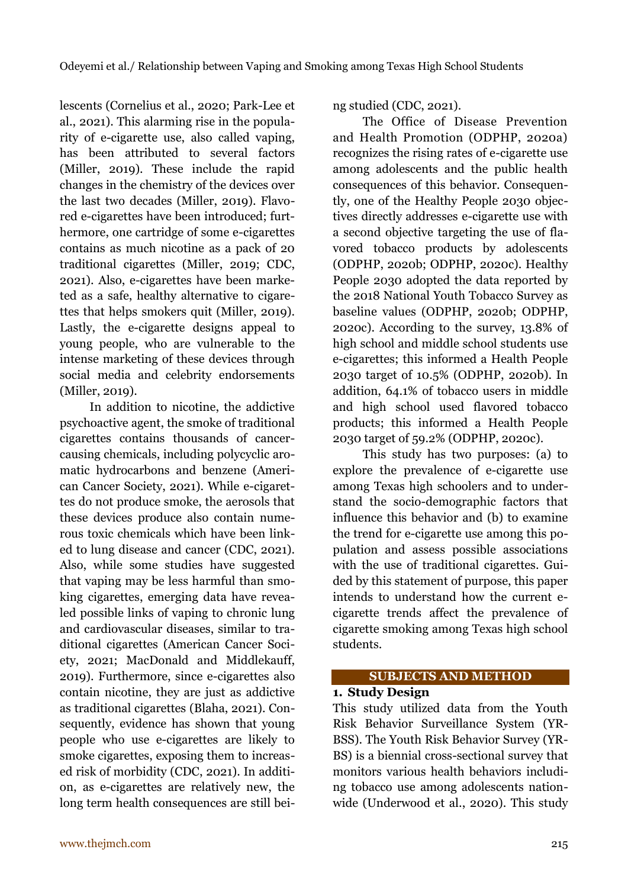lescents (Cornelius et al., 2020; Park-Lee et al., 2021). This alarming rise in the popularity of e-cigarette use, also called vaping, has been attributed to several factors (Miller, 2019). These include the rapid changes in the chemistry of the devices over the last two decades (Miller, 2019). Flavored e-cigarettes have been introduced; furthermore, one cartridge of some e-cigarettes contains as much nicotine as a pack of 20 traditional cigarettes (Miller, 2019; CDC, 2021). Also, e-cigarettes have been marketed as a safe, healthy alternative to cigarettes that helps smokers quit (Miller, 2019). Lastly, the e-cigarette designs appeal to young people, who are vulnerable to the intense marketing of these devices through social media and celebrity endorsements (Miller, 2019).

In addition to nicotine, the addictive psychoactive agent, the smoke of traditional cigarettes contains thousands of cancercausing chemicals, including polycyclic aromatic hydrocarbons and benzene (American Cancer Society, 2021). While e-cigarettes do not produce smoke, the aerosols that these devices produce also contain numerous toxic chemicals which have been linked to lung disease and cancer (CDC, 2021). Also, while some studies have suggested that vaping may be less harmful than smoking cigarettes, emerging data have revealed possible links of vaping to chronic lung and cardiovascular diseases, similar to traditional cigarettes (American Cancer Society, 2021; MacDonald and Middlekauff, 2019). Furthermore, since e-cigarettes also contain nicotine, they are just as addictive as traditional cigarettes (Blaha, 2021). Consequently, evidence has shown that young people who use e-cigarettes are likely to smoke cigarettes, exposing them to increased risk of morbidity (CDC, 2021). In addition, as e-cigarettes are relatively new, the long term health consequences are still being studied (CDC, 2021).

The Office of Disease Prevention and Health Promotion (ODPHP, 2020a) recognizes the rising rates of e-cigarette use among adolescents and the public health consequences of this behavior. Consequently, one of the Healthy People 2030 objectives directly addresses e-cigarette use with a second objective targeting the use of flavored tobacco products by adolescents (ODPHP, 2020b; ODPHP, 2020c). Healthy People 2030 adopted the data reported by the 2018 National Youth Tobacco Survey as baseline values (ODPHP, 2020b; ODPHP, 2020c). According to the survey, 13.8% of high school and middle school students use e-cigarettes; this informed a Health People 2030 target of 10.5% (ODPHP, 2020b). In addition, 64.1% of tobacco users in middle and high school used flavored tobacco products; this informed a Health People 2030 target of 59.2% (ODPHP, 2020c).

This study has two purposes: (a) to explore the prevalence of e-cigarette use among Texas high schoolers and to understand the socio-demographic factors that influence this behavior and (b) to examine the trend for e-cigarette use among this population and assess possible associations with the use of traditional cigarettes. Guided by this statement of purpose, this paper intends to understand how the current ecigarette trends affect the prevalence of cigarette smoking among Texas high school students.

## **SUBJECTS AND METHOD**

### **1. Study Design**

This study utilized data from the Youth Risk Behavior Surveillance System (YR-BSS). The Youth Risk Behavior Survey (YR-BS) is a biennial cross-sectional survey that monitors various health behaviors including tobacco use among adolescents nationwide (Underwood et al., 2020). This study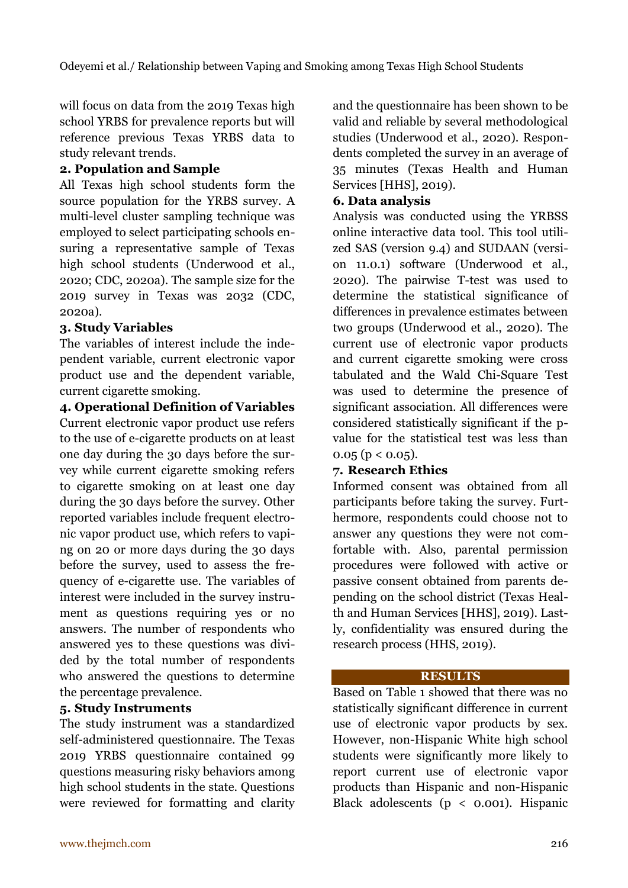will focus on data from the 2019 Texas high school YRBS for prevalence reports but will reference previous Texas YRBS data to study relevant trends.

## **2. Population and Sample**

All Texas high school students form the source population for the YRBS survey. A multi-level cluster sampling technique was employed to select participating schools ensuring a representative sample of Texas high school students (Underwood et al., 2020; CDC, 2020a). The sample size for the 2019 survey in Texas was 2032 (CDC, 2020a).

## **3. Study Variables**

The variables of interest include the independent variable, current electronic vapor product use and the dependent variable, current cigarette smoking.

**4. Operational Definition of Variables** Current electronic vapor product use refers to the use of e-cigarette products on at least one day during the 30 days before the survey while current cigarette smoking refers to cigarette smoking on at least one day during the 30 days before the survey. Other reported variables include frequent electronic vapor product use, which refers to vaping on 20 or more days during the 30 days before the survey, used to assess the frequency of e-cigarette use. The variables of interest were included in the survey instrument as questions requiring yes or no answers. The number of respondents who answered yes to these questions was divided by the total number of respondents who answered the questions to determine the percentage prevalence.

# **5. Study Instruments**

The study instrument was a standardized self-administered questionnaire. The Texas 2019 YRBS questionnaire contained 99 questions measuring risky behaviors among high school students in the state. Questions were reviewed for formatting and clarity and the questionnaire has been shown to be valid and reliable by several methodological studies (Underwood et al., 2020). Respondents completed the survey in an average of 35 minutes (Texas Health and Human Services [HHS], 2019).

# **6. Data analysis**

Analysis was conducted using the YRBSS online interactive data tool. This tool utilized SAS (version 9.4) and SUDAAN (version 11.0.1) software (Underwood et al., 2020). The pairwise T-test was used to determine the statistical significance of differences in prevalence estimates between two groups (Underwood et al., 2020). The current use of electronic vapor products and current cigarette smoking were cross tabulated and the Wald Chi-Square Test was used to determine the presence of significant association. All differences were considered statistically significant if the pvalue for the statistical test was less than  $0.05$  (p < 0.05).

## **7. Research Ethics**

Informed consent was obtained from all participants before taking the survey. Furthermore, respondents could choose not to answer any questions they were not comfortable with. Also, parental permission procedures were followed with active or passive consent obtained from parents depending on the school district (Texas Health and Human Services [HHS], 2019). Lastly, confidentiality was ensured during the research process (HHS, 2019).

## **RESULTS**

Based on Table 1 showed that there was no statistically significant difference in current use of electronic vapor products by sex. However, non-Hispanic White high school students were significantly more likely to report current use of electronic vapor products than Hispanic and non-Hispanic Black adolescents ( $p \lt 0.001$ ). Hispanic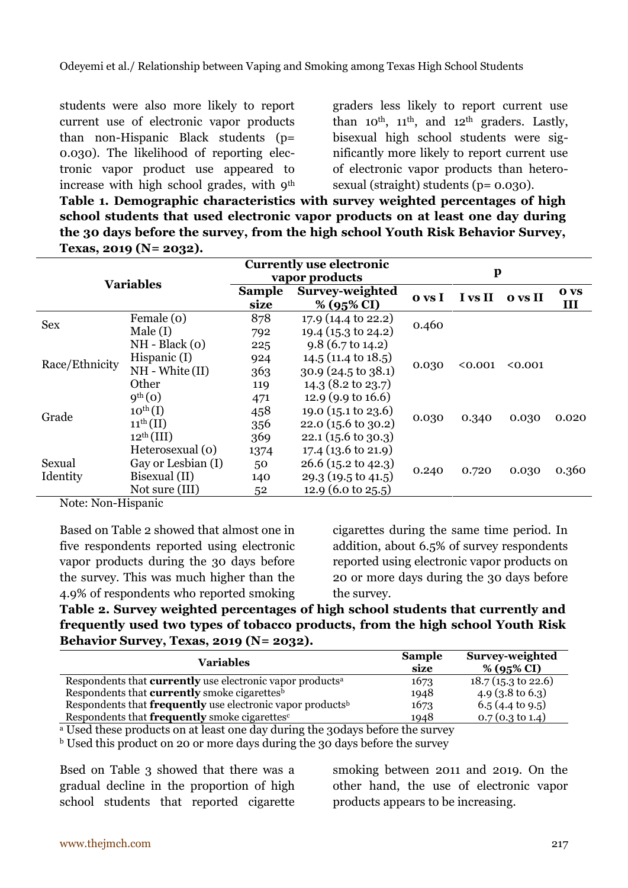students were also more likely to report current use of electronic vapor products than non-Hispanic Black students (p= 0.030). The likelihood of reporting electronic vapor product use appeared to increase with high school grades, with 9<sup>th</sup> graders less likely to report current use than  $10^{th}$ ,  $11^{th}$ , and  $12^{th}$  graders. Lastly, bisexual high school students were significantly more likely to report current use of electronic vapor products than heterosexual (straight) students (p= 0.030).

**Table 1. Demographic characteristics with survey weighted percentages of high school students that used electronic vapor products on at least one day during the 30 days before the survey, from the high school Youth Risk Behavior Survey, Texas, 2019 (N= 2032).**

| <b>Variables</b>   |                       | <b>Currently use electronic</b><br>vapor products |                                | $\mathbf p$ |         |         |                    |
|--------------------|-----------------------|---------------------------------------------------|--------------------------------|-------------|---------|---------|--------------------|
|                    |                       | <b>Sample</b><br>size                             | Survey-weighted<br>% (95% CI)  | o vs I      | I vs II | o vs II | <b>O</b> VS<br>III |
| <b>Sex</b>         | Female (0)            | 878                                               | 17.9 (14.4 to 22.2)            | 0.460       |         |         |                    |
|                    | Male(I)               | 792                                               | 19.4 (15.3 to 24.2)            |             |         |         |                    |
| Race/Ethnicity     | $NH - Black(0)$       | 225                                               | $9.8(6.7 \text{ to } 14.2)$    | 0.030       |         |         |                    |
|                    | Hispanic $(I)$        | 924                                               | $14.5(11.4 \text{ to } 18.5)$  |             | < 0.001 | 0.001   |                    |
|                    | $NH - White(II)$      | 363                                               | $30.9(24.5 \text{ to } 38.1)$  |             |         |         |                    |
|                    | Other                 | 119                                               | 14.3 (8.2 to 23.7)             |             |         |         |                    |
|                    | 9 <sup>th</sup> (0)   | 471                                               | 12.9 (9.9 to 16.6)             |             |         |         |                    |
| Grade              | $10^{\text{th}}$ (I)  | 458                                               | 19.0 $(15.1 \text{ to } 23.6)$ |             |         |         |                    |
|                    | $11^{\text{th}}$ (II) | 356                                               | $22.0(15.6 \text{ to } 30.2)$  | 0.030       | 0.340   | 0.030   | 0.020              |
|                    | $12^{th}$ (III)       | 369                                               | $22.1(15.6 \text{ to } 30.3)$  |             |         |         |                    |
| Sexual<br>Identity | Heterosexual (0)      | 1374                                              | $17.4(13.6 \text{ to } 21.9)$  |             |         |         |                    |
|                    | Gay or Lesbian (I)    | 50                                                | $26.6$ (15.2 to 42.3)          |             | 0.720   | 0.030   | 0.360              |
|                    | Bisexual (II)         | 140                                               | $29.3(19.5 \text{ to } 41.5)$  | 0.240       |         |         |                    |
|                    | Not sure (III)        | 52                                                | 12.9 $(6.0 \text{ to } 25.5)$  |             |         |         |                    |

Note: Non-Hispanic

Based on Table 2 showed that almost one in five respondents reported using electronic vapor products during the 30 days before the survey. This was much higher than the 4.9% of respondents who reported smoking cigarettes during the same time period. In addition, about 6.5% of survey respondents reported using electronic vapor products on 20 or more days during the 30 days before the survey.

**Table 2. Survey weighted percentages of high school students that currently and frequently used two types of tobacco products, from the high school Youth Risk Behavior Survey, Texas, 2019 (N= 2032).**

| <b>Variables</b>                                                              | <b>Sample</b><br>size | Survey-weighted<br>% (95% CI) |
|-------------------------------------------------------------------------------|-----------------------|-------------------------------|
| Respondents that <b>currently</b> use electronic vapor products <sup>a</sup>  | 1673                  | $18.7$ (15.3 to 22.6)         |
| Respondents that <b>currently</b> smoke cigarettes <sup>b</sup>               | 1948                  | 4.9 $(3.8 \text{ to } 6.3)$   |
| Respondents that <b>frequently</b> use electronic vapor products <sup>b</sup> | 1673                  | $6.5(4.4 \text{ to } 9.5)$    |
| Respondents that frequently smoke cigarettes <sup>c</sup>                     | 1948                  | $0.7(0.3 \text{ to } 1.4)$    |

<sup>a</sup> Used these products on at least one day during the 30days before the survey

<sup>b</sup> Used this product on 20 or more days during the 30 days before the survey

Bsed on Table 3 showed that there was a gradual decline in the proportion of high school students that reported cigarette

smoking between 2011 and 2019. On the other hand, the use of electronic vapor products appears to be increasing.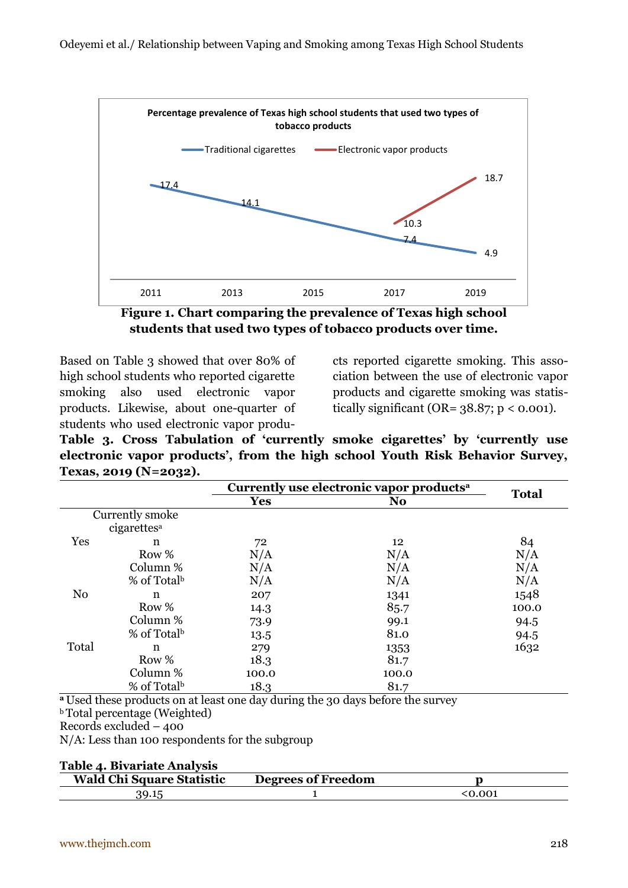

**Figure 1. Chart comparing the prevalence of Texas high school students that used two types of tobacco products over time.**

Based on Table 3 showed that over 80% of high school students who reported cigarette smoking also used electronic vapor products. Likewise, about one-quarter of students who used electronic vapor produ-

cts reported cigarette smoking. This association between the use of electronic vapor products and cigarette smoking was statistically significant (OR= 38.87; p *<* 0.001).

**Table 3. Cross Tabulation of 'currently smoke cigarettes' by 'currently use electronic vapor products', from the high school Youth Risk Behavior Survey, Texas, 2019 (N=2032).**

|                 |                         | Currently use electronic vapor products <sup>a</sup> |                |              |  |
|-----------------|-------------------------|------------------------------------------------------|----------------|--------------|--|
|                 |                         | <b>Yes</b>                                           | N <sub>o</sub> | <b>Total</b> |  |
| Currently smoke |                         |                                                      |                |              |  |
|                 | cigarettes <sup>a</sup> |                                                      |                |              |  |
| Yes             | n                       | 72                                                   | 12             | 84           |  |
|                 | Row %                   | N/A                                                  | N/A            | N/A          |  |
|                 | Column %                | N/A                                                  | N/A            | N/A          |  |
|                 | % of Total <sup>b</sup> | N/A                                                  | N/A            | N/A          |  |
| N <sub>o</sub>  | n                       | 207                                                  | 1341           | 1548         |  |
|                 | Row %                   | 14.3                                                 | 85.7           | 100.0        |  |
|                 | Column %                | 73.9                                                 | 99.1           | 94.5         |  |
|                 | % of Total <sup>b</sup> | 13.5                                                 | 81.0           | 94.5         |  |
| Total           | n                       | 279                                                  | 1353           | 1632         |  |
|                 | Row %                   | 18.3                                                 | 81.7           |              |  |
|                 | Column %                | 100.0                                                | 100.0          |              |  |
|                 | % of Total <sup>b</sup> | 18.3                                                 | 81.7           |              |  |

**<sup>a</sup>**Used these products on at least one day during the 30 days before the survey

**b**Total percentage (Weighted)

Records excluded – 400

N/A: Less than 100 respondents for the subgroup

| Table 4. Bivariate Analysis |  |
|-----------------------------|--|
|-----------------------------|--|

| <b>Wald Chi Square Statistic</b> | <b>Degrees of Freedom</b> |        |
|----------------------------------|---------------------------|--------|
|                                  |                           | ረስ ሰበ1 |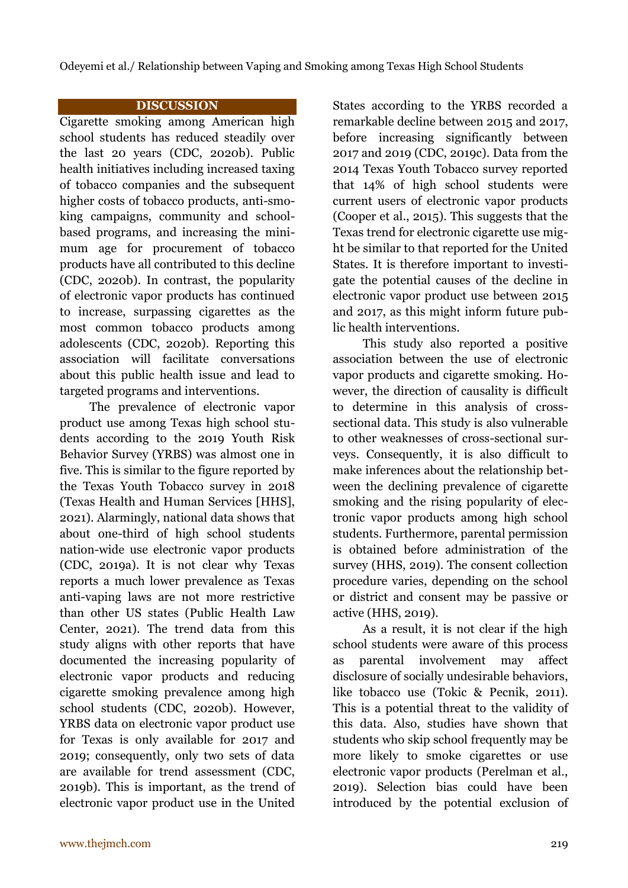Odeyemi et al./ Relationship between Vaping and Smoking among Texas High School Students

### **DISCUSSION**

Cigarette smoking among American high school students has reduced steadily over the last 20 years (CDC, 2020b). Public health initiatives including increased taxing of tobacco companies and the subsequent higher costs of tobacco products, anti-smoking campaigns, community and schoolbased programs, and increasing the minimum age for procurement of tobacco products have all contributed to this decline (CDC, 2020b). In contrast, the popularity of electronic vapor products has continued to increase, surpassing cigarettes as the most common tobacco products among adolescents (CDC, 2020b). Reporting this association will facilitate conversations about this public health issue and lead to targeted programs and interventions.

The prevalence of electronic vapor product use among Texas high school students according to the 2019 Youth Risk Behavior Survey (YRBS) was almost one in five. This is similar to the figure reported by the Texas Youth Tobacco survey in 2018 (Texas Health and Human Services [HHS], 2021). Alarmingly, national data shows that about one-third of high school students nation-wide use electronic vapor products (CDC, 2019a). It is not clear why Texas reports a much lower prevalence as Texas anti-vaping laws are not more restrictive than other US states (Public Health Law Center, 2021). The trend data from this study aligns with other reports that have documented the increasing popularity of electronic vapor products and reducing cigarette smoking prevalence among high school students (CDC, 2020b). However, YRBS data on electronic vapor product use for Texas is only available for 2017 and 2019; consequently, only two sets of data are available for trend assessment (CDC, 2019b). This is important, as the trend of electronic vapor product use in the United States according to the YRBS recorded a remarkable decline between 2015 and 2017, before increasing significantly between 2017 and 2019 (CDC, 2019c). Data from the 2014 Texas Youth Tobacco survey reported that 14% of high school students were current users of electronic vapor products (Cooper et al., 2015). This suggests that the Texas trend for electronic cigarette use might be similar to that reported for the United States. It is therefore important to investigate the potential causes of the decline in electronic vapor product use between 2015 and 2017, as this might inform future public health interventions.

This study also reported a positive association between the use of electronic vapor products and cigarette smoking. However, the direction of causality is difficult to determine in this analysis of crosssectional data. This study is also vulnerable to other weaknesses of cross-sectional surveys. Consequently, it is also difficult to make inferences about the relationship between the declining prevalence of cigarette smoking and the rising popularity of electronic vapor products among high school students. Furthermore, parental permission is obtained before administration of the survey (HHS, 2019). The consent collection procedure varies, depending on the school or district and consent may be passive or active (HHS, 2019).

As a result, it is not clear if the high school students were aware of this process as parental involvement may affect disclosure of socially undesirable behaviors, like tobacco use (Tokic & Pecnik, 2011). This is a potential threat to the validity of this data. Also, studies have shown that students who skip school frequently may be more likely to smoke cigarettes or use electronic vapor products (Perelman et al., 2019). Selection bias could have been introduced by the potential exclusion of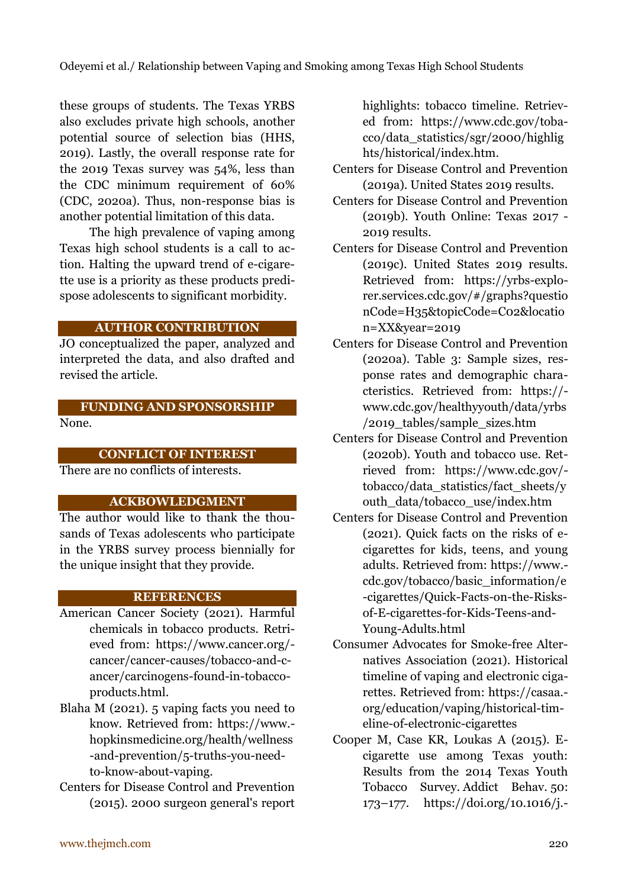these groups of students. The Texas YRBS also excludes private high schools, another potential source of selection bias (HHS, 2019). Lastly, the overall response rate for the 2019 Texas survey was 54%, less than the CDC minimum requirement of 60% (CDC, 2020a). Thus, non-response bias is another potential limitation of this data.

The high prevalence of vaping among Texas high school students is a call to action. Halting the upward trend of e-cigarette use is a priority as these products predispose adolescents to significant morbidity.

### **AUTHOR CONTRIBUTION**

JO conceptualized the paper, analyzed and interpreted the data, and also drafted and revised the article.

## **FUNDING AND SPONSORSHIP**

None.

## **CONFLICT OF INTEREST**

There are no conflicts of interests.

## **ACKBOWLEDGMENT**

The author would like to thank the thousands of Texas adolescents who participate in the YRBS survey process biennially for the unique insight that they provide.

## **REFERENCES**

- American Cancer Society (2021). Harmful chemicals in tobacco products*.* Retrieved from: https://www.cancer.org/ cancer/cancer-causes/tobacco-and-cancer/carcinogens-found-in-tobaccoproducts.html.
- Blaha M (2021). 5 vaping facts you need to know*.* Retrieved from: https://www. hopkinsmedicine.org/health/wellness -and-prevention/5-truths-you-needto-know-about-vaping.
- Centers for Disease Control and Prevention (2015). 2000 surgeon general's report

highlights: tobacco timeline. Retrieved from: https://www.cdc.gov/tobacco/data\_statistics/sgr/2000/highlig hts/historical/index.htm.

- Centers for Disease Control and Prevention (2019a). United States 2019 results.
- Centers for Disease Control and Prevention (2019b). Youth Online: Texas 2017 - 2019 results.
- Centers for Disease Control and Prevention (2019c). United States 2019 results. Retrieved from: https://yrbs-explorer.services.cdc.gov/#/graphs?questio nCode=H35&topicCode=C02&locatio n=XX&year=2019
- Centers for Disease Control and Prevention (2020a). Table 3: Sample sizes, response rates and demographic characteristics. Retrieved from: https:// www.cdc.gov/healthyyouth/data/yrbs /2019\_tables/sample\_sizes.htm
- Centers for Disease Control and Prevention (2020b). Youth and tobacco use. Retrieved from: https://www.cdc.gov/ tobacco/data\_statistics/fact\_sheets/y outh\_data/tobacco\_use/index.htm
- Centers for Disease Control and Prevention (2021). Quick facts on the risks of ecigarettes for kids, teens, and young adults. Retrieved from: https://www. cdc.gov/tobacco/basic\_information/e -cigarettes/Quick-Facts-on-the-Risksof-E-cigarettes-for-Kids-Teens-and-Young-Adults.html
- Consumer Advocates for Smoke-free Alternatives Association (2021). Historical timeline of vaping and electronic cigarettes. Retrieved from: https://casaa. org/education/vaping/historical-timeline-of-electronic-cigarettes
- Cooper M, Case KR, Loukas A (2015). Ecigarette use among Texas youth: Results from the 2014 Texas Youth Tobacco Survey. Addict Behav. 50: 173–177. https://doi.org/10.1016/j.-